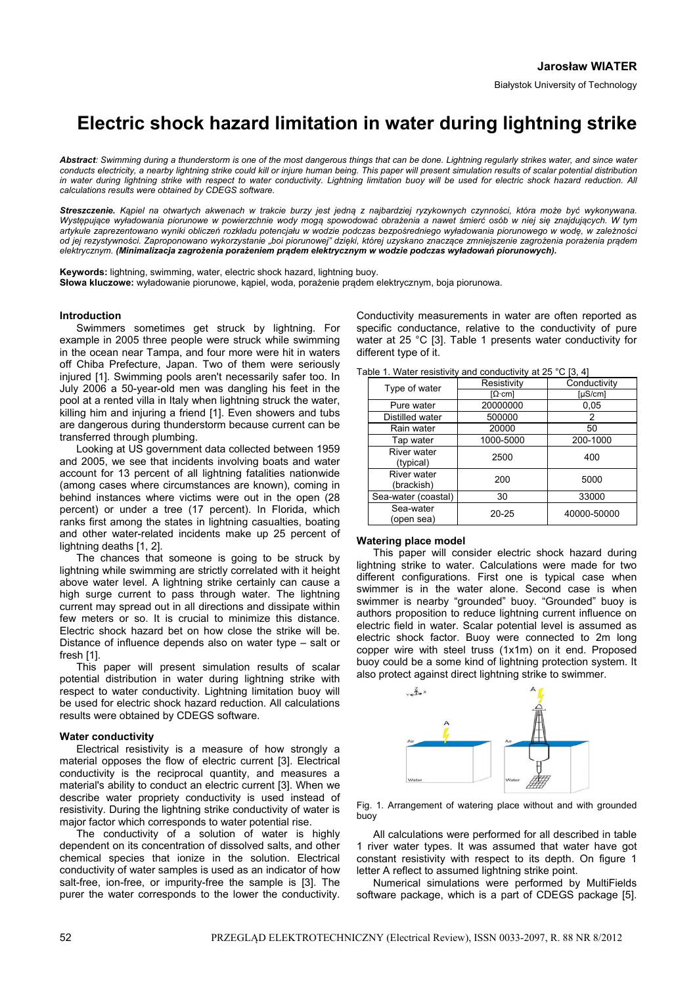# **Electric shock hazard limitation in water during lightning strike**

Abstract: Swimming during a thunderstorm is one of the most dangerous things that can be done. Lightning regularly strikes water, and since water *conducts electricity, a nearby lightning strike could kill or injure human being. This paper will present simulation results of scalar potential distribution*  in water during lightning strike with respect to water conductivity. Lightning limitation buoy will be used for electric shock hazard reduction. All *calculations results were obtained by CDEGS software.* 

*Streszczenie. Kąpiel na otwartych akwenach w trakcie burzy jest jedną z najbardziej ryzykownych czynności, która może być wykonywana.*  Występujące wyładowania piorunowe w powierzchnie wody mogą spowodować obrażenia a nawet śmierć osób w niej się znajdujących. W tym artykule zaprezentowano wyniki obliczeń rozkładu potencjału w wodzie podczas bezpośredniego wyładowania piorunowego w wodę, w zależności od jej rezystywności. Zaproponowano wykorzystanie "boi piorunowej" dzięki, której uzyskano znaczące zmniejszenie zagrożenia porażenia prądem *elektrycznym. (Minimalizacja zagrożenia porażeniem prądem elektrycznym w wodzie podczas wyładowań piorunowych).*

**Keywords:** lightning, swimming, water, electric shock hazard, lightning buoy. **Słowa kluczowe:** wyładowanie piorunowe, kąpiel, woda, porażenie prądem elektrycznym, boja piorunowa.

## **Introduction**

 Swimmers sometimes get struck by lightning. For example in 2005 three people were struck while swimming in the ocean near Tampa, and four more were hit in waters off Chiba Prefecture, Japan. Two of them were seriously injured [1]. Swimming pools aren't necessarily safer too. In July 2006 a 50-year-old men was dangling his feet in the pool at a rented villa in Italy when lightning struck the water, killing him and injuring a friend [1]. Even showers and tubs are dangerous during thunderstorm because current can be transferred through plumbing.

 Looking at US government data collected between 1959 and 2005, we see that incidents involving boats and water account for 13 percent of all lightning fatalities nationwide (among cases where circumstances are known), coming in behind instances where victims were out in the open (28 percent) or under a tree (17 percent). In Florida, which ranks first among the states in lightning casualties, boating and other water-related incidents make up 25 percent of lightning deaths [1, 2].

 The chances that someone is going to be struck by lightning while swimming are strictly correlated with it height above water level. A lightning strike certainly can cause a high surge current to pass through water. The lightning current may spread out in all directions and dissipate within few meters or so. It is crucial to minimize this distance. Electric shock hazard bet on how close the strike will be. Distance of influence depends also on water type – salt or fresh [1].

 This paper will present simulation results of scalar potential distribution in water during lightning strike with respect to water conductivity. Lightning limitation buoy will be used for electric shock hazard reduction. All calculations results were obtained by CDEGS software.

### **Water conductivity**

 Electrical resistivity is a measure of how strongly a material opposes the flow of electric current [3]. Electrical conductivity is the reciprocal quantity, and measures a material's ability to conduct an electric current [3]. When we describe water propriety conductivity is used instead of resistivity. During the lightning strike conductivity of water is major factor which corresponds to water potential rise.

The conductivity of a solution of water is highly dependent on its concentration of dissolved salts, and other chemical species that ionize in the solution. Electrical conductivity of water samples is used as an indicator of how salt-free, ion-free, or impurity-free the sample is [3]. The purer the water corresponds to the lower the conductivity.

Conductivity measurements in water are often reported as specific conductance, relative to the conductivity of pure water at 25 °C [3]. Table 1 presents water conductivity for different type of it.

Table 1. Water resistivity and conductivity at 25 °C [3, 4]

| $\frac{1}{2}$ . The state throughout the conductivity at $\frac{1}{2}$ $\frac{1}{2}$ , $\frac{1}{2}$ |             |              |
|------------------------------------------------------------------------------------------------------|-------------|--------------|
| Type of water                                                                                        | Resistivity | Conductivity |
|                                                                                                      | IΩ∙cml      | [uS/cm]      |
| Pure water                                                                                           | 20000000    | 0,05         |
| Distilled water                                                                                      | 500000      | 2            |
| Rain water                                                                                           | 20000       | 50           |
| Tap water                                                                                            | 1000-5000   | 200-1000     |
| <b>River water</b><br>(typical)                                                                      | 2500        | 400          |
| River water<br>(brackish)                                                                            | 200         | 5000         |
| Sea-water (coastal)                                                                                  | 30          | 33000        |
| Sea-water<br>(open sea)                                                                              | $20 - 25$   | 40000-50000  |

### **Watering place model**

 This paper will consider electric shock hazard during lightning strike to water. Calculations were made for two different configurations. First one is typical case when swimmer is in the water alone. Second case is when swimmer is nearby "grounded" buoy. "Grounded" buoy is authors proposition to reduce lightning current influence on electric field in water. Scalar potential level is assumed as electric shock factor. Buoy were connected to 2m long copper wire with steel truss (1x1m) on it end. Proposed buoy could be a some kind of lightning protection system. It also protect against direct lightning strike to swimmer.



Fig. 1. Arrangement of watering place without and with grounded buoy

 All calculations were performed for all described in table 1 river water types. It was assumed that water have got constant resistivity with respect to its depth. On figure 1 letter A reflect to assumed lightning strike point.

 Numerical simulations were performed by MultiFields software package, which is a part of CDEGS package [5].